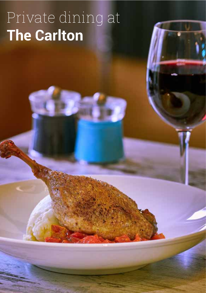# Private dining at **The Carlton**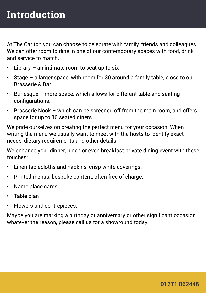At The Carlton you can choose to celebrate with family, friends and colleagues. We can offer room to dine in one of our contemporary spaces with food, drink and service to match.

- Library  $-$  an intimate room to seat up to six
- Stage  $-$  a larger space, with room for 30 around a family table, close to our Brasserie & Bar.
- Burlesque more space, which allows for different table and seating configurations.
- Brasserie Nook which can be screened off from the main room, and offers space for up to 16 seated diners

We pride ourselves on creating the perfect menu for your occasion. When writing the menu we usually want to meet with the hosts to identify exact needs, dietary requirements and other details.

We enhance your dinner, lunch or even breakfast private dining event with these touches:

- Linen tablecloths and napkins, crisp white coverings.
- Printed menus, bespoke content, often free of charge.
- Name place cards.
- Table plan
- Flowers and centrepieces.

Maybe you are marking a birthday or anniversary or other significant occasion, whatever the reason, please call us for a showround today.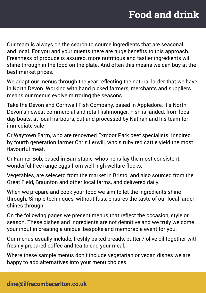# **Food and drink**

Our team is always on the search to source ingredients that are seasonal and local. For you and your guests there are huge benefits to this approach. Freshness of produce is assured, more nutritious and tastier ingredients will shine through in the food on the plate. And often this means we can buy at the best market prices.

We adapt our menus through the year reflecting the natural larder that we have in North Devon. Working with hand picked farmers, merchants and suppliers means our menus evolve mirroring the seasons.

Take the Devon and Cornwall Fish Company, based in Appledore, it's North Devon's newest commercial and retail fishmonger. Fish is landed, from local day boats, at local harbours, cut and processed by Nathan and his team for immediate sale

Or Waytown Farm, who are renowned Exmoor Park beef specialists. Inspired by fourth generation farmer Chris Lerwill, who's ruby red cattle yield the most flavourful meat.

Or Farmer Bob, based in Barnstaple, whos hens lay the most consistent, wonderful free range eggs from well high welfare flocks.

Vegetables, are selecetd from the market in Bristol and also sourced from the Great Field, Braunton and other local farms, and delivered daily.

When we prepare and cook your food we aim to let the ingredients shine through. Simple techniques, without fuss, ensures the taste of our local larder shines through.

On the following pages we present menus that reflect the occasion, style or season. These dishes and ingredients are not definitive and we truly welcome your input in creating a unique, bespoke and memorable event for you.

Our menus usually include, freshly baked breads, butter / olive oil together with freshly prepared coffee and tea to end your meal.

Where these sample menus don't include vegetarian or vegan dishes we are happy to add alternatives into your menu choices.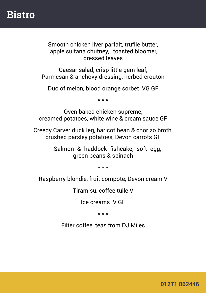### **Bistro**

Smooth chicken liver parfait, truflle butter, apple sultana chutney, toasted bloomer, dressed leaves

Caesar salad, crisp little gem leaf, Parmesan & anchovy dressing, herbed crouton

Duo of melon, blood orange sorbet VG GF

\* \* \*

Oven baked chicken supreme, creamed potatoes, white wine & cream sauce GF

Creedy Carver duck leg, haricot bean & chorizo broth, crushed parsley potatoes, Devon carrots GF

> Salmon & haddock fishcake, soft egg, green beans & spinach

> > \* \* \*

Raspberry blondie, fruit compote, Devon cream V

Tiramisu, coffee tuile V

Ice creams V GF

\* \* \*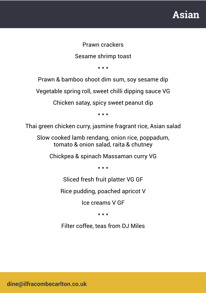# **Asian**

#### Prawn crackers

Sesame shrimp toast

\* \* \*

Prawn & bamboo shoot dim sum, soy sesame dip

Vegetable spring roll, sweet chilli dipping sauce VG

Chicken satay, spicy sweet peanut dip

\* \* \*

Thai green chicken curry, jasmine fragrant rice, Asian salad

Slow cooked lamb rendang, onion rice, poppadum, tomato & onion salad, raita & chutney

Chickpea & spinach Massaman curry VG

\* \* \*

Sliced fresh fruit platter VG GF

Rice pudding, poached apricot V

Ice creams V GF

\* \* \*

Filter coffee, teas from DJ Miles

**dine@ilfracombecarlton.co.uk**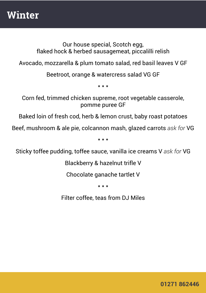## **Winter**

Our house special, Scotch egg, flaked hock & herbed sausagemeat, piccalilli relish

Avocado, mozzarella & plum tomato salad, red basil leaves V GF

Beetroot, orange & watercress salad VG GF

\* \* \*

Corn fed, trimmed chicken supreme, root vegetable casserole, pomme puree GF

Baked loin of fresh cod, herb & lemon crust, baby roast potatoes

Beef, mushroom & ale pie, colcannon mash, glazed carrots *ask for* VG

\* \* \*

Sticky toffee pudding, toffee sauce, vanilla ice creams V *ask for* VG

Blackberry & hazelnut trifle V

Chocolate ganache tartlet V

\* \* \*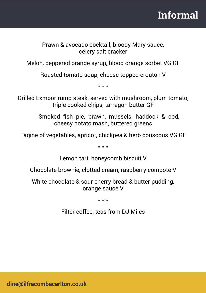# **Informal**

Prawn & avocado cocktail, bloody Mary sauce, celery salt cracker

Melon, peppered orange syrup, blood orange sorbet VG GF

Roasted tomato soup, cheese topped crouton V

\* \* \*

Grilled Exmoor rump steak, served with mushroom, plum tomato, triple cooked chips, tarragon butter GF

> Smoked fish pie, prawn, mussels, haddock & cod, cheesy potato mash, buttered greens

Tagine of vegetables, apricot, chickpea & herb couscous VG GF

\* \* \*

Lemon tart, honeycomb biscuit V

Chocolate brownie, clotted cream, raspberry compote V

White chocolate & sour cherry bread & butter pudding, orange sauce V

\* \* \*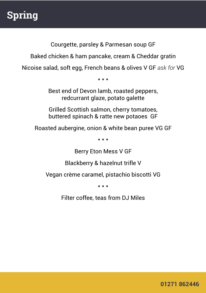# **Spring**

Courgette, parsley & Parmesan soup GF

Baked chicken & ham pancake, cream & Cheddar gratin

Nicoise salad, soft egg, French beans & olives V GF *ask for* VG

\* \* \*

Best end of Devon lamb, roasted peppers, redcurrant glaze, potato galette

Grilled Scottish salmon, cherry tomatoes, buttered spinach & ratte new potaoes GF

Roasted aubergine, onion & white bean puree VG GF

\* \* \*

Berry Eton Mess V GF

Blackberry & hazelnut trifle V

Vegan crème caramel, pistachio biscotti VG

\* \* \*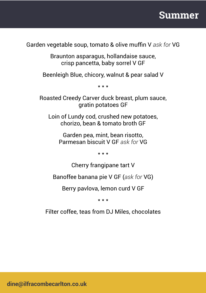

Garden vegetable soup, tomato & olive muffin V *ask for* VG

Braunton asparagus, hollandaise sauce, crisp pancetta, baby sorrel V GF

Beenleigh Blue, chicory, walnut & pear salad V

\* \* \*

Roasted Creedy Carver duck breast, plum sauce, gratin potatoes GF

Loin of Lundy cod, crushed new potatoes, chorizo, bean & tomato broth GF

Garden pea, mint, bean risotto, Parmesan biscuit V GF *ask for* VG

\* \* \*

Cherry frangipane tart V

Banoffee banana pie V GF (*ask for* VG)

Berry pavlova, lemon curd V GF

\* \* \*

Filter coffee, teas from DJ Miles, chocolates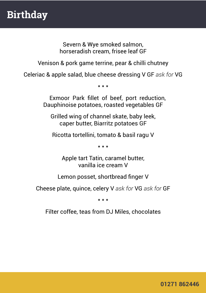Severn & Wye smoked salmon, horseradish cream, frisee leaf GF

Venison & pork game terrine, pear & chilli chutney

Celeriac & apple salad, blue cheese dressing V GF *ask for* VG

\* \* \*

Exmoor Park fillet of beef, port reduction, Dauphinoise potatoes, roasted vegetables GF

Grilled wing of channel skate, baby leek, caper butter, Biarritz potatoes GF

Ricotta tortellini, tomato & basil ragu V

\* \* \*

Apple tart Tatin, caramel butter, vanilla ice cream V

Lemon posset, shortbread finger V

Cheese plate, quince, celery V *ask for* VG *ask for* GF

\* \* \*

Filter coffee, teas from DJ Miles, chocolates